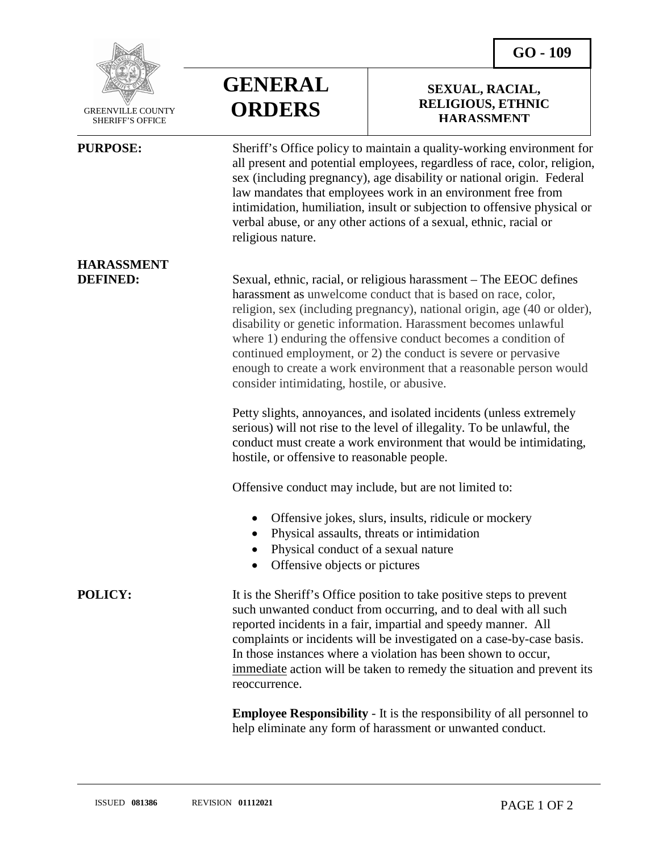**SEXUAL, RACIAL, RELIGIOUS, ETHNIC HARASSMENT**



 GREENVILLE COUNTY SHERIFF'S OFFICE

**HARASSMENT**

l



**PURPOSE:** Sheriff's Office policy to maintain a quality-working environment for all present and potential employees, regardless of race, color, religion, sex (including pregnancy), age disability or national origin. Federal law mandates that employees work in an environment free from intimidation, humiliation, insult or subjection to offensive physical or verbal abuse, or any other actions of a sexual, ethnic, racial or religious nature.

**DEFINED:** Sexual, ethnic, racial, or religious harassment – The EEOC defines harassment as unwelcome conduct that is based on race, color, religion, sex (including pregnancy), national origin, age (40 or older), disability or genetic information. Harassment becomes unlawful where 1) enduring the offensive conduct becomes a condition of continued employment, or 2) the conduct is severe or pervasive enough to create a work environment that a reasonable person would consider intimidating, hostile, or abusive.

> Petty slights, annoyances, and isolated incidents (unless extremely serious) will not rise to the level of illegality. To be unlawful, the conduct must create a work environment that would be intimidating, hostile, or offensive to reasonable people.

Offensive conduct may include, but are not limited to:

- Offensive jokes, slurs, insults, ridicule or mockery
- Physical assaults, threats or intimidation
- Physical conduct of a sexual nature
- Offensive objects or pictures

**POLICY:** It is the Sheriff's Office position to take positive steps to prevent such unwanted conduct from occurring, and to deal with all such reported incidents in a fair, impartial and speedy manner. All complaints or incidents will be investigated on a case-by-case basis. In those instances where a violation has been shown to occur, immediate action will be taken to remedy the situation and prevent its reoccurrence.

> **Employee Responsibility** - It is the responsibility of all personnel to help eliminate any form of harassment or unwanted conduct.